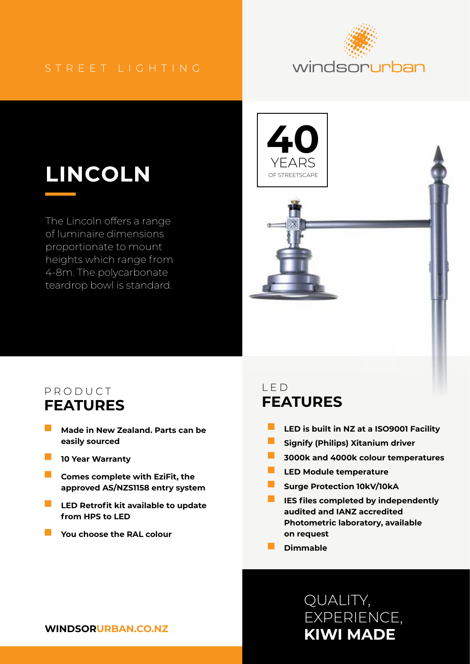#### STREET LIGHTING



# **LINCOLN**

The Lincoln offers a range of luminaire dimensions proportionate to mount heights which range from 4-8m. The polycarbonate teardrop bowl is standard.



#### PRODUCT **FEATURES**

- **Made in New Zealand. Parts can be easily sourced**
- **10 Year Warranty**
- **Comes complete with EziFit, the approved AS/NZS1158 entry system**
- **LED Retrofit kit available to update from HPS to LED**
- **You choose the RAL colour**

#### LED **FEATURES**

- **LED is built in NZ at a ISO9001 Facility**
- **Signify (Philips) Xitanium driver**
- **3000k and 4000k colour temperatures**
- **LED Module temperature**
- **Surge Protection 10kV/10kA**
- **IES files completed by independently audited and IANZ accredited Photometric laboratory, available on request**
- **Dimmable**

## **KIWI MADE** QUALITY, EXPERIENCE,

**WINDSORURBAN.CO.NZ**